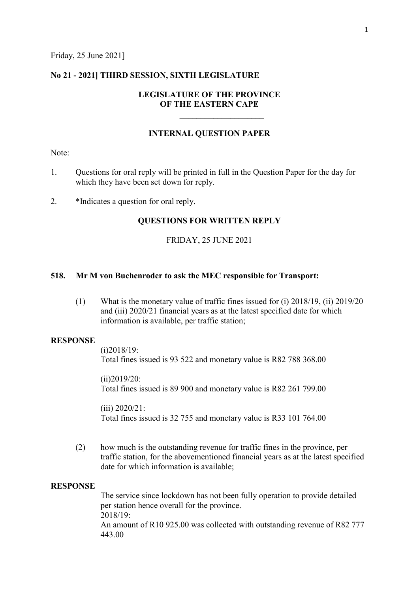### No 21 - 2021] THIRD SESSION, SIXTH LEGISLATURE

# LEGISLATURE OF THE PROVINCE OF THE EASTERN CAPE

 $\_$ 

## INTERNAL QUESTION PAPER

Note:

- 1. Questions for oral reply will be printed in full in the Question Paper for the day for which they have been set down for reply.
- 2. \*Indicates a question for oral reply.

## QUESTIONS FOR WRITTEN REPLY

### FRIDAY, 25 JUNE 2021

## 518. Mr M von Buchenroder to ask the MEC responsible for Transport:

(1) What is the monetary value of traffic fines issued for (i) 2018/19, (ii) 2019/20 and (iii) 2020/21 financial years as at the latest specified date for which information is available, per traffic station;

#### **RESPONSE**

(i)2018/19:

Total fines issued is 93 522 and monetary value is R82 788 368.00

(ii)2019/20: Total fines issued is 89 900 and monetary value is R82 261 799.00

(iii) 2020/21: Total fines issued is 32 755 and monetary value is R33 101 764.00

(2) how much is the outstanding revenue for traffic fines in the province, per traffic station, for the abovementioned financial years as at the latest specified date for which information is available;

#### RESPONSE

The service since lockdown has not been fully operation to provide detailed per station hence overall for the province. 2018/19: An amount of R10 925.00 was collected with outstanding revenue of R82 777 443.00